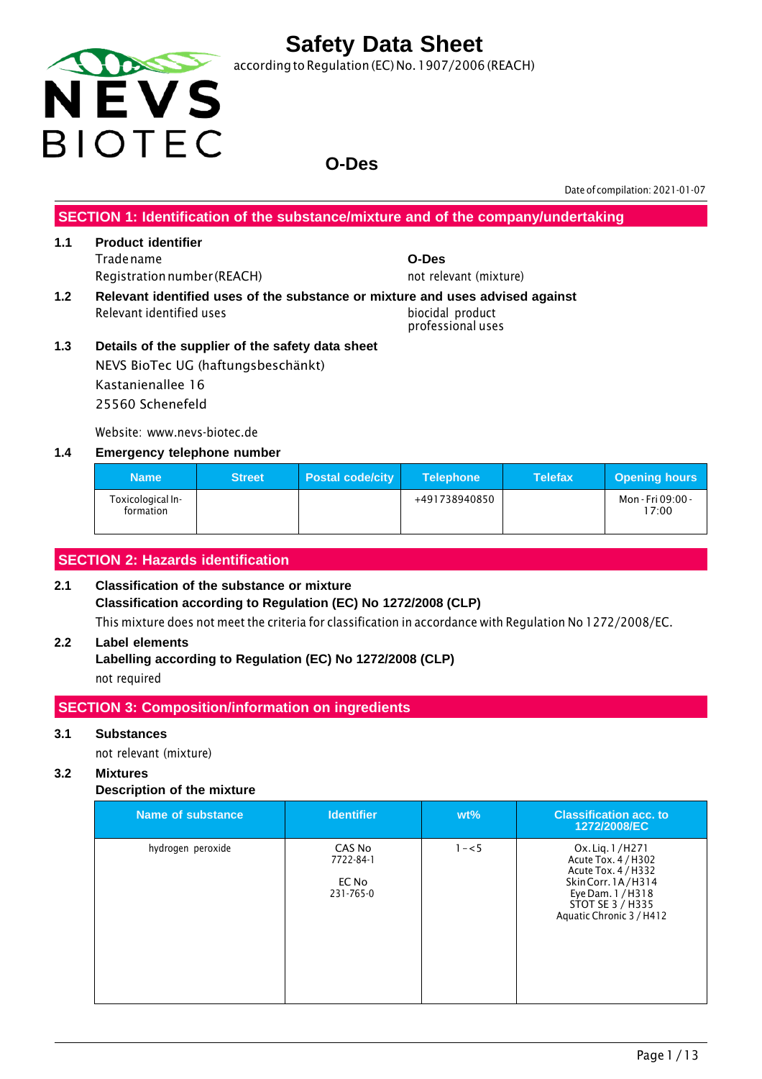

according to Regulation (EC) No.1907/2006 (REACH)

## **O-Des**

Date of compilation: 2021-01-07

**SECTION 1: Identification of the substance/mixture and of the company/undertaking**

#### **1.1 Product identifier** Tradename **O-Des** Registration number (REACH) not relevant (mixture)

- **1.2 Relevant identified uses of the substance or mixture and uses advised against** Relevant identified uses biocidal product
	- professional uses
- **1.3 Details of the supplier of the safety data sheet** NEVS BioTec UG (haftungsbeschänkt) Kastanienallee 16 25560 Schenefeld

Website: www.nevs-biotec.de

#### **1.4 Emergency telephone number**

| <b>Name</b>                    | <b>Street</b> | <b>Postal code/city</b> | <b>Telephone</b> | <b>Telefax</b> | <b>Opening hours</b>       |
|--------------------------------|---------------|-------------------------|------------------|----------------|----------------------------|
| Toxicological In-<br>formation |               |                         | +491738940850    |                | Mon - Fri 09:00 -<br>17:00 |

#### **SECTION 2: Hazards identification**

#### **2.1 Classification of the substance or mixture Classification according to Regulation (EC) No 1272/2008 (CLP)** This mixture does not meet the criteria for classification in accordance with Regulation No 1272/2008/EC.

#### **2.2 Label elements**

**Labelling according to Regulation (EC) No 1272/2008 (CLP)** not required

#### **SECTION 3: Composition/information on ingredients**

#### **3.1 Substances**

not relevant (mixture)

#### **3.2 Mixtures**

#### **Description of the mixture**

| Name of substance | <b>Identifier</b>                         | $wt\%$  | <b>Classification acc. to</b><br>1272/2008/EC                                                                                                            |
|-------------------|-------------------------------------------|---------|----------------------------------------------------------------------------------------------------------------------------------------------------------|
| hydrogen peroxide | CAS No<br>7722-84-1<br>EC No<br>231-765-0 | $1 - 5$ | Ox. Lig. 1/H271<br>Acute Tox. 4 / H302<br>Acute Tox. 4 / H332<br>Skin Corr. 1A/H314<br>Eye Dam. 1 / H318<br>STOT SE 3 / H335<br>Aquatic Chronic 3 / H412 |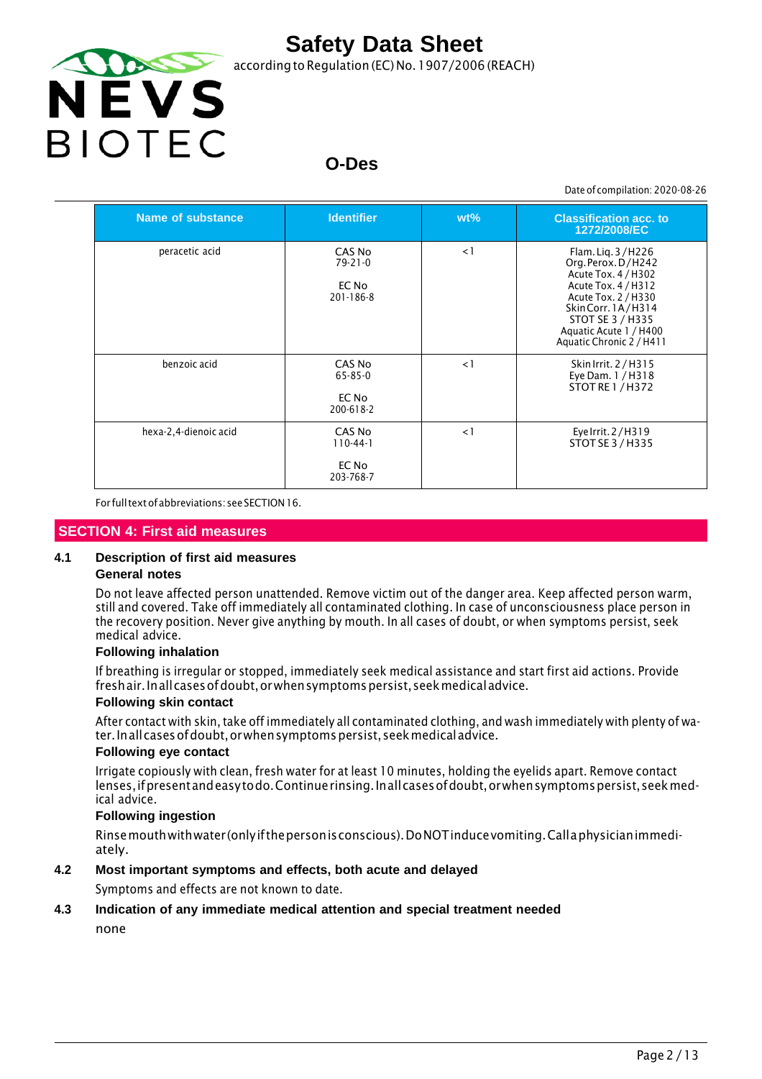

according to Regulation (EC) No. 1907/2006 (REACH)

# **O-Des**

Date of compilation: 2020-08-26

| Name of substance     | <b>Identifier</b>                             | $wt\%$   | <b>Classification acc. to</b><br>1272/2008/EC                                                                                                                                                                |
|-----------------------|-----------------------------------------------|----------|--------------------------------------------------------------------------------------------------------------------------------------------------------------------------------------------------------------|
| peracetic acid        | CAS No<br>$79 - 21 - 0$<br>EC No<br>201-186-8 | $\lt 1$  | Flam. Lig. 3/H226<br>Org. Perox. D/H242<br>Acute Tox. 4 / H302<br>Acute Tox. 4 / H312<br>Acute Tox. 2 / H330<br>Skin Corr. 1A/H314<br>STOT SE 3 / H335<br>Aquatic Acute 1 / H400<br>Aquatic Chronic 2 / H411 |
| benzoic acid          | CAS No<br>65-85-0<br>EC No<br>200-618-2       | $\leq$ 1 | Skin Irrit. 2 / H315<br>Eye Dam. 1 / H318<br><b>STOT RE 1 / H372</b>                                                                                                                                         |
| hexa-2,4-dienoic acid | CAS No<br>$110-44-1$<br>EC No<br>203-768-7    | $\leq$ 1 | Eye Irrit. 2/H319<br>STOT SE 3 / H335                                                                                                                                                                        |

For fulltextofabbreviations: seeSECTION16.

#### **SECTION 4: First aid measures**

#### **4.1 Description of first aid measures**

#### **General notes**

Do not leave affected person unattended. Remove victim out of the danger area. Keep affected person warm, still and covered. Take off immediately all contaminated clothing. In case of unconsciousness place person in the recovery position. Never give anything by mouth. In all cases of doubt, or when symptoms persist, seek medical advice.

#### **Following inhalation**

If breathing is irregular or stopped, immediately seek medical assistance and start first aid actions. Provide freshair. Inall cases of doubt, or when symptoms persist, seek medical advice.

#### **Following skin contact**

After contact with skin, take off immediately all contaminated clothing, and wash immediately with plenty of water.Inallcasesofdoubt,orwhensymptomspersist,seekmedicaladvice.

#### **Following eye contact**

Irrigate copiously with clean, fresh water for at least 10 minutes, holding the eyelids apart. Remove contact lenses, if present and easy to do. Continue rinsing. In all cases of doubt, or when symptoms persist, seek medical advice.

#### **Following ingestion**

Rinsemouthwithwater (onlyifthepersonisconscious).DoNOTinducevomiting.Callaphysicianimmediately.

#### **4.2 Most important symptoms and effects, both acute and delayed**

Symptoms and effects are not known to date.

#### **4.3 Indication of any immediate medical attention and special treatment needed**

none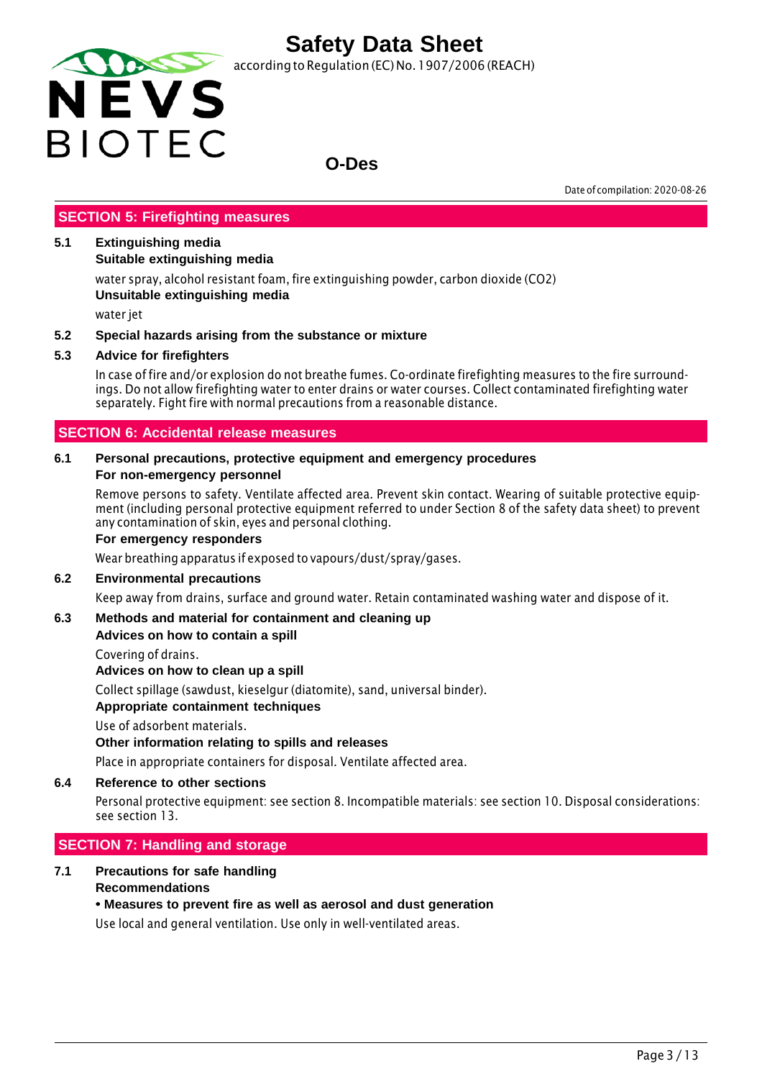

according to Regulation (EC) No. 1907/2006 (REACH)

### **O-Des**

Date of compilation: 2020-08-26

#### **SECTION 5: Firefighting measures**

#### **5.1 Extinguishing media**

**Suitable extinguishing media**

water spray, alcohol resistant foam, fire extinguishing powder, carbon dioxide (CO2) **Unsuitable extinguishing media**

water jet

#### **5.2 Special hazards arising from the substance or mixture**

#### **5.3 Advice for firefighters**

In case of fire and/or explosion do not breathe fumes. Co-ordinate firefighting measures to the fire surroundings. Do not allow firefighting water to enter drains or water courses. Collect contaminated firefighting water separately. Fight fire with normal precautions from a reasonable distance.

#### **SECTION 6: Accidental release measures**

#### **6.1 Personal precautions, protective equipment and emergency procedures For non-emergency personnel**

Remove persons to safety. Ventilate affected area. Prevent skin contact. Wearing of suitable protective equipment (including personal protective equipment referred to under Section 8 of the safety data sheet) to prevent any contamination of skin, eyes and personal clothing.

#### **For emergency responders**

Wear breathing apparatus if exposed to vapours/dust/spray/gases.

#### **6.2 Environmental precautions**

Keep away from drains, surface and ground water. Retain contaminated washing water and dispose of it.

#### **6.3 Methods and material for containment and cleaning up**

#### **Advices on how to contain a spill**

Covering of drains.

**Advices on how to clean up a spill**

Collect spillage (sawdust, kieselgur (diatomite), sand, universal binder).

#### **Appropriate containment techniques**

Use of adsorbent materials.

#### **Other information relating to spills and releases**

Place in appropriate containers for disposal. Ventilate affected area.

#### **6.4 Reference to other sections**

Personal protective equipment: see section 8. Incompatible materials: see section 10. Disposal considerations: see section 13.

#### **SECTION 7: Handling and storage**

#### **7.1 Precautions for safe handling Recommendations**

#### **• Measures to prevent fire as well as aerosol and dust generation**

Use local and general ventilation. Use only in well-ventilated areas.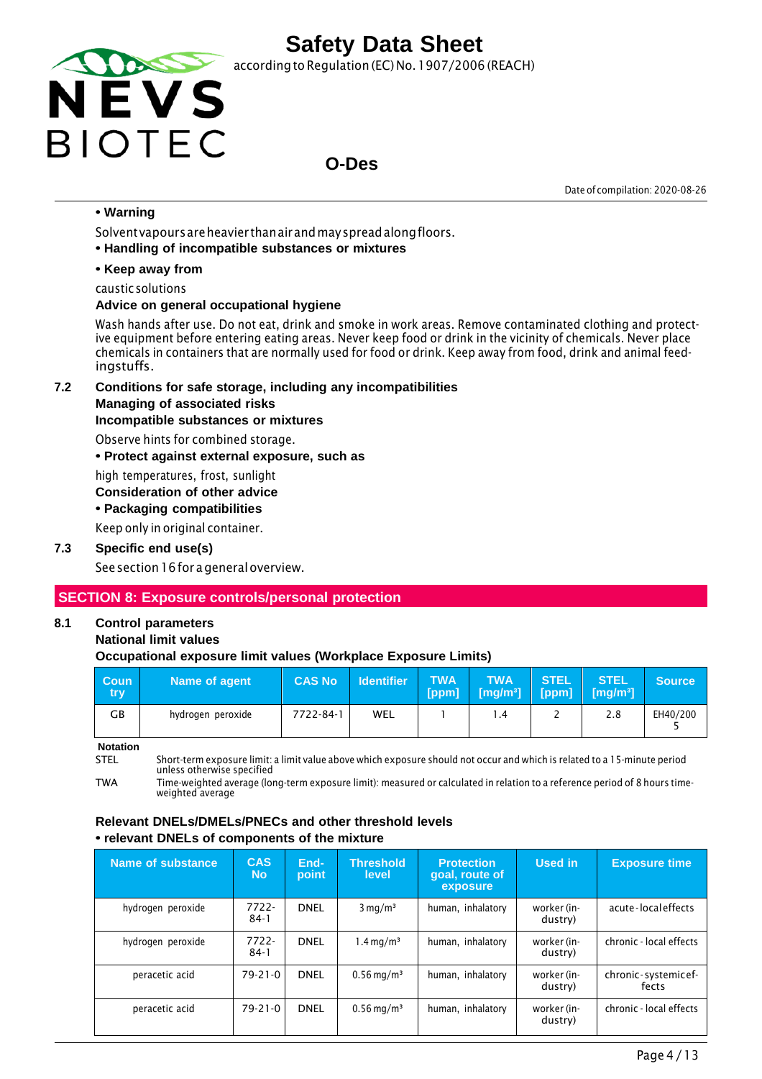

according to Regulation (EC) No. 1907/2006 (REACH)

### **O-Des**

Date of compilation: 2020-08-26

#### **• Warning**

Solventvapoursareheavier thanairandmayspreadalongfloors.

**• Handling of incompatible substances or mixtures**

#### **• Keep away from**

caustic solutions

#### **Advice on general occupational hygiene**

Wash hands after use. Do not eat, drink and smoke in work areas. Remove contaminated clothing and protective equipment before entering eating areas. Never keep food or drink in the vicinity of chemicals. Never place chemicals in containers that are normally used for food or drink. Keep away from food, drink and animal feedingstuffs.

**7.2 Conditions for safe storage, including any incompatibilities**

#### **Managing of associated risks**

#### **Incompatible substances or mixtures**

Observe hints for combined storage.

**• Protect against external exposure, such as**

high temperatures, frost, sunlight

#### **Consideration of other advice**

**• Packaging compatibilities**

Keep only in original container.

#### **7.3 Specific end use(s)**

See section 16 for a general overview.

#### **SECTION 8: Exposure controls/personal protection**

### **8.1 Control parameters**

#### **National limit values**

#### **Occupational exposure limit values (Workplace Exposure Limits)**

| <b>Coun</b><br>try | Name of agent     | <b>CAS No</b> | <b>Identifier</b> | <b>TWA</b><br>[ppm] | <b>TWA</b><br>$\sqrt{[mg/m^3]}$ | <b>STEL</b> | <b>STEL</b><br>$[ppm]$ $[mg/m^3]$ | <b>Source</b> |
|--------------------|-------------------|---------------|-------------------|---------------------|---------------------------------|-------------|-----------------------------------|---------------|
| GВ                 | hydrogen peroxide | 7722-84-1     | WEL               |                     | $\cdot$ 4                       | -           | 2.8                               | EH40/200      |

**Notation**

STEL Short-term exposure limit: a limit value above which exposure should not occur and which is related to a 15-minute period unless otherwise specified

TWA Time-weighted average (long-term exposure limit): measured or calculated in relation to a reference period of 8 hours timeweighted average

#### **Relevant DNELs/DMELs/PNECs and other threshold levels • relevant DNELs of components of the mixture**

| Name of substance | <b>CAS</b><br><b>No</b> | End-<br>point | <b>Threshold</b><br>level | <b>Protection</b><br>goal, route of<br>exposure | Used in                | <b>Exposure time</b>         |
|-------------------|-------------------------|---------------|---------------------------|-------------------------------------------------|------------------------|------------------------------|
| hydrogen peroxide | $7722 -$<br>$84-1$      | <b>DNEL</b>   | $3 \text{ mg/m}^3$        | human, inhalatory                               | worker (in-<br>dustry) | acute-localeffects           |
| hydrogen peroxide | 7722-<br>$84-1$         | <b>DNEL</b>   | $1.4 \,\mathrm{mq/m^3}$   | human, inhalatory                               | worker (in-<br>dustry) | chronic - local effects      |
| peracetic acid    | $79 - 21 - 0$           | <b>DNEL</b>   | $0.56 \,\mathrm{mg/m^3}$  | human, inhalatory                               | worker (in-<br>dustry) | chronic-systemicef-<br>fects |
| peracetic acid    | $79 - 21 - 0$           | <b>DNEL</b>   | $0.56 \,\mathrm{mg/m^3}$  | human, inhalatory                               | worker (in-<br>dustry) | chronic - local effects      |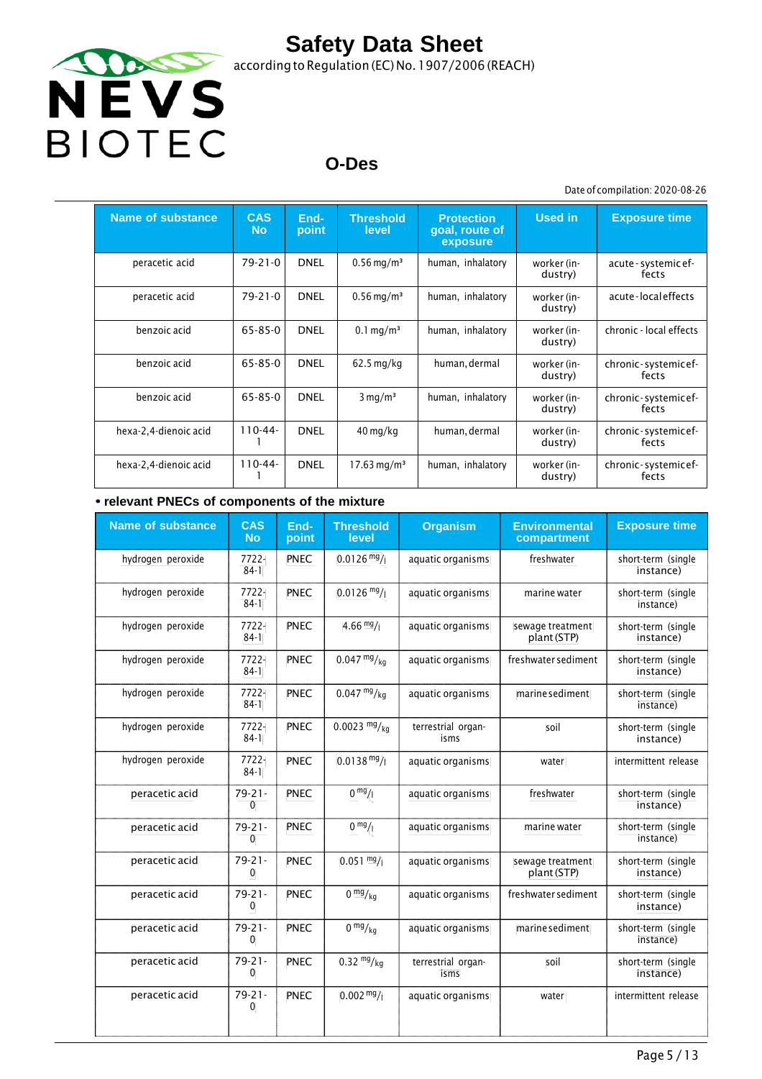

according to Regulation (EC) No.1907/2006 (REACH)

# **O-Des**

Date of compilation: 2020-08-26

| <b>Name of substance</b> | <b>CAS</b><br><b>No</b> | End-<br>point | <b>Threshold</b><br>level | <b>Protection</b><br>goal, route of<br>exposure | <b>Used in</b>         | <b>Exposure time</b>          |
|--------------------------|-------------------------|---------------|---------------------------|-------------------------------------------------|------------------------|-------------------------------|
| peracetic acid           | 79-21-0                 | <b>DNEL</b>   | $0.56 \,\mathrm{mg/m^3}$  | human, inhalatory                               | worker (in-<br>dustry) | acute - systemic ef-<br>fects |
| peracetic acid           | 79-21-0                 | <b>DNEL</b>   | $0.56$ mg/m <sup>3</sup>  | human, inhalatory                               | worker (in-<br>dustry) | acute-localeffects            |
| benzoic acid             | 65-85-0                 | <b>DNEL</b>   | $0.1 \,\mathrm{mg/m^3}$   | human, inhalatory                               | worker (in-<br>dustry) | chronic - local effects       |
| benzoic acid             | 65-85-0                 | <b>DNEL</b>   | $62.5$ mg/kg              | human, dermal                                   | worker (in-<br>dustry) | chronic-systemicef-<br>fects  |
| benzoic acid             | 65-85-0                 | <b>DNEL</b>   | $3 \text{ mg/m}^3$        | human, inhalatory                               | worker (in-<br>dustry) | chronic-systemicef-<br>fects  |
| hexa-2,4-dienoic acid    | $110-44-$               | <b>DNEL</b>   | $40 \,\mathrm{mg/kg}$     | human, dermal                                   | worker (in-<br>dustry) | chronic-systemicef-<br>fects  |
| hexa-2,4-dienoic acid    | $110 - 44 -$            | <b>DNEL</b>   | $17.63 \,\mathrm{mg/m^3}$ | human, inhalatory                               | worker (in-<br>dustry) | chronic-systemicef-<br>fects  |

#### **• relevant PNECs of components of the mixture**

| <b>Name of substance</b> | <b>CAS</b><br><b>No</b> | End-<br>point | <b>Threshold</b><br>level  | <b>Organism</b>            | <b>Environmental</b><br>compartment | <b>Exposure time</b>            |
|--------------------------|-------------------------|---------------|----------------------------|----------------------------|-------------------------------------|---------------------------------|
| hydrogen peroxide        | 7722-<br>$84-1$         | PNEC          | $0.0126 \frac{mg}{l}$      | aquatic organisms          | freshwater                          | short-term (single<br>instance) |
| hydrogen peroxide        | 7722-<br>$84-1$         | PNEC          | $0.0126$ mg/               | aquatic organisms          | marine water                        | short-term (single<br>instance) |
| hydrogen peroxide        | 7722-<br>$84-1$         | PNEC          | 4.66 $mg/1$                | aquatic organisms          | sewage treatment<br>plant (STP)     | short-term (single<br>instance) |
| hydrogen peroxide        | 7722-<br>$84-1$         | <b>PNEC</b>   | $0.047 \frac{mg}{kg}$      | aquatic organisms          | freshwater sediment                 | short-term (single<br>instance) |
| hydrogen peroxide        | 7722-<br>$84-1$         | PNEC          | $0.047 \frac{mg}{kg}$      | aquatic organisms          | marine sediment                     | short-term (single<br>instance) |
| hydrogen peroxide        | 7722-<br>$84-1$         | PNEC          | $0.0023$ mg/ <sub>kg</sub> | terrestrial organ-<br>isms | soil                                | short-term (single<br>instance) |
| hydrogen peroxide        | 7722-<br>$84-1$         | PNEC          | $0.0138 \text{ mg}$ /      | aquatic organisms          | water                               | intermittent release            |
| peracetic acid           | $79 - 21 -$<br>0        | <b>PNEC</b>   | 0 <sup>mg</sup> /1         | aquatic organisms          | freshwater                          | short-term (single<br>instance) |
| peracetic acid           | $79 - 21 -$<br>0        | <b>PNEC</b>   | 0 <sup>mg</sup> /1         | aquatic organisms          | marine water                        | short-term (single<br>instance) |
| peracetic acid           | $79 - 21 -$<br>0        | PNEC          | $0.051 \frac{mg}{l}$       | aquatic organisms          | sewage treatment<br>plant (STP)     | short-term (single<br>instance) |
| peracetic acid           | $79 - 21 -$<br>0        | <b>PNEC</b>   | 0 <sup>mg</sup> /kg        | aquatic organisms          | freshwater sediment                 | short-term (single<br>instance) |
| peracetic acid           | $79 - 21 -$<br>0        | <b>PNEC</b>   | $0 \frac{mg}{kg}$          | aquatic organisms          | marine sediment                     | short-term (single<br>instance) |
| peracetic acid           | $79 - 21 -$<br>0        | <b>PNEC</b>   | $0.32 \frac{mg}{kg}$       | terrestrial organ-<br>isms | soil                                | short-term (single<br>instance) |
| peracetic acid           | $79 - 21 -$<br>0        | PNEC          | $0.002 \frac{mg}{l}$       | aquatic organisms          | water                               | intermittent release            |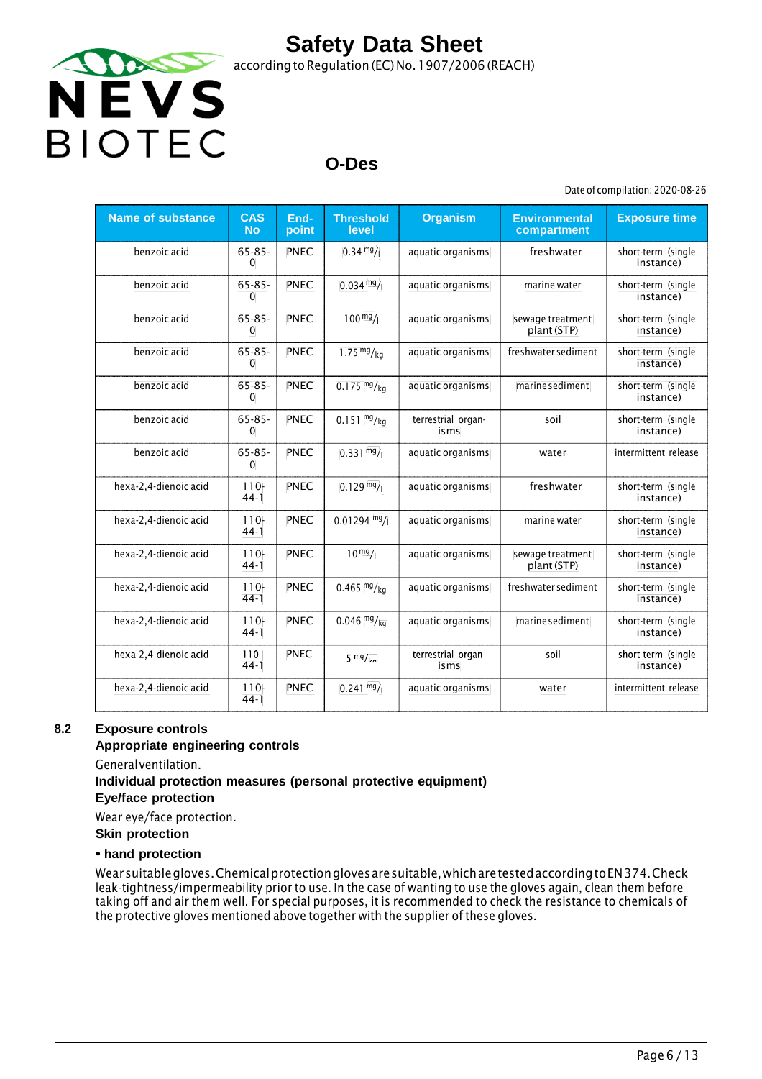

### **O-Des**

Date of compilation: 2020-08-26

| <b>Name of substance</b> | <b>CAS</b><br><b>No</b> | End-<br>point | <b>Threshold</b><br>level | <b>Organism</b>            | <b>Environmental</b><br>compartment | <b>Exposure time</b>            |
|--------------------------|-------------------------|---------------|---------------------------|----------------------------|-------------------------------------|---------------------------------|
| benzoic acid             | $65 - 85 -$<br>$\Omega$ | <b>PNEC</b>   | $0.34 \frac{mg}{l}$       | aquatic organisms          | freshwater                          | short-term (single<br>instance) |
| benzoic acid             | $65 - 85 -$<br>$\Omega$ | <b>PNEC</b>   | $0.034 \text{ mg}$ /      | aquatic organisms          | marine water                        | short-term (single<br>instance) |
| benzoic acid             | $65 - 85 -$<br>$\Omega$ | <b>PNEC</b>   | $100 \frac{mg}{l}$        | aquatic organisms          | sewage treatment<br>plant (STP)     | short-term (single<br>instance) |
| benzoic acid             | $65 - 85 -$<br>$\Omega$ | <b>PNEC</b>   | 1.75 $mg/kg$              | aquatic organisms          | freshwater sediment                 | short-term (single<br>instance) |
| benzoic acid             | $65 - 85 -$<br>$\Omega$ | <b>PNEC</b>   | $0.175 \frac{mg}{kg}$     | aquatic organisms          | marine sediment                     | short-term (single<br>instance) |
| benzoic acid             | $65 - 85 -$<br>$\Omega$ | <b>PNEC</b>   | $0.151 \frac{mg}{kg}$     | terrestrial organ-<br>isms | soil                                | short-term (single<br>instance) |
| benzoic acid             | $65 - 85 -$<br>$\Omega$ | <b>PNEC</b>   | $0.331 \frac{mg}{l}$      | aquatic organisms          | water                               | intermittent release            |
| hexa-2,4-dienoic acid    | $110 -$<br>$44-1$       | <b>PNEC</b>   | $0.129 \frac{mg}{l}$      | aquatic organisms          | freshwater                          | short-term (single<br>instance) |
| hexa-2,4-dienoic acid    | $110-$<br>$44-1$        | <b>PNEC</b>   | $0.01294$ mg/             | aquatic organisms          | marine water                        | short-term (single<br>instance) |
| hexa-2,4-dienoic acid    | $110 -$<br>$44-1$       | <b>PNEC</b>   | $10^{mg}/1$               | aquatic organisms          | sewage treatment<br>plant (STP)     | short-term (single<br>instance) |
| hexa-2,4-dienoic acid    | $110 -$<br>$44-1$       | <b>PNEC</b>   | $0.465 \frac{mg}{kg}$     | aquatic organisms          | freshwater sediment                 | short-term (single<br>instance) |
| hexa-2,4-dienoic acid    | $110-$<br>$44-1$        | <b>PNEC</b>   | $0.046 \frac{mg}{kg}$     | aquatic organisms          | marine sediment                     | short-term (single<br>instance) |
| hexa 2,4 dienoic acid    | $110 -$<br>$44-1$       | <b>PNEC</b>   | $5 \frac{mg}{ka}$         | terrestrial organ-<br>isms | soil                                | short term (single<br>instance) |
| hexa-2,4-dienoic acid    | $110 -$<br>$44-1$       | <b>PNEC</b>   | $0.241 \frac{mg}{l}$      | aquatic organisms          | water                               | intermittent release            |

#### **8.2 Exposure controls**

#### **Appropriate engineering controls**

Generalventilation.

### **Individual protection measures (personal protective equipment)**

**Eye/face protection**

Wear eye/face protection.

**Skin protection**

#### **• hand protection**

Wearsuitablegloves.Chemicalprotectionglovesaresuitable,whicharetestedaccordingtoEN374.Check leak-tightness/impermeability prior to use. In the case of wanting to use the gloves again, clean them before taking off and air them well. For special purposes, it is recommended to check the resistance to chemicals of the protective gloves mentioned above together with the supplier of these gloves.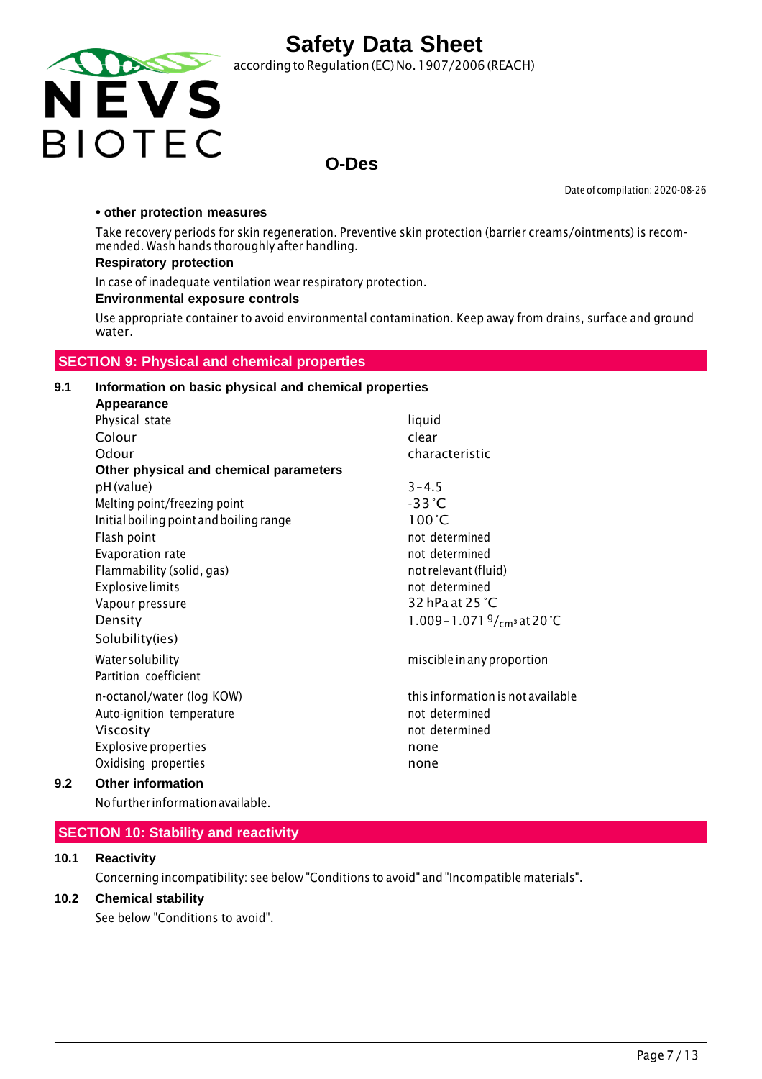

according to Regulation (EC) No.1907/2006 (REACH)

### **O-Des**

Date of compilation: 2020-08-26

#### **• other protection measures**

Take recovery periods for skin regeneration. Preventive skin protection (barrier creams/ointments) is recommended. Wash hands thoroughly after handling.

#### **Respiratory protection**

In case of inadequate ventilation wear respiratory protection.

#### **Environmental exposure controls**

Use appropriate container to avoid environmental contamination. Keep away from drains, surface and ground water.

#### **SECTION 9: Physical and chemical properties**

#### **9.1 Information on basic physical and chemical properties Appearance**

| <b>Appearance</b>                       |                                       |
|-----------------------------------------|---------------------------------------|
| Physical state                          | liquid                                |
| Colour                                  | clear                                 |
| Odour                                   | characteristic                        |
| Other physical and chemical parameters  |                                       |
| pH (value)                              | $3 - 4.5$                             |
| Melting point/freezing point            | $-33^{\circ}$ C                       |
| Initial boiling point and boiling range | $100^{\circ}$ C                       |
| Flash point                             | not determined                        |
| Evaporation rate                        | not determined                        |
| Flammability (solid, gas)               | not relevant (fluid)                  |
| <b>Explosive limits</b>                 | not determined                        |
| Vapour pressure                         | 32 hPa at 25 $^{\circ}$ C             |
| Density                                 | 1.009 - 1.071 $\frac{9}{cm}$ at 20 °C |
| Solubility(ies)                         |                                       |
| Water solubility                        | miscible in any proportion            |
| Partition coefficient                   |                                       |
| n-octanol/water (log KOW)               | this information is not available     |
| Auto-ignition temperature               | not determined                        |
| Viscosity                               | not determined                        |
| <b>Explosive properties</b>             | none                                  |
| Oxidising properties                    | none                                  |
| <b>Other information</b>                |                                       |

#### **9.2 Other information**

Nofurther informationavailable.

#### **SECTION 10: Stability and reactivity**

#### **10.1 Reactivity**

Concerning incompatibility: see below "Conditions to avoid" and "Incompatible materials".

#### **10.2 Chemical stability**

See below "Conditions to avoid".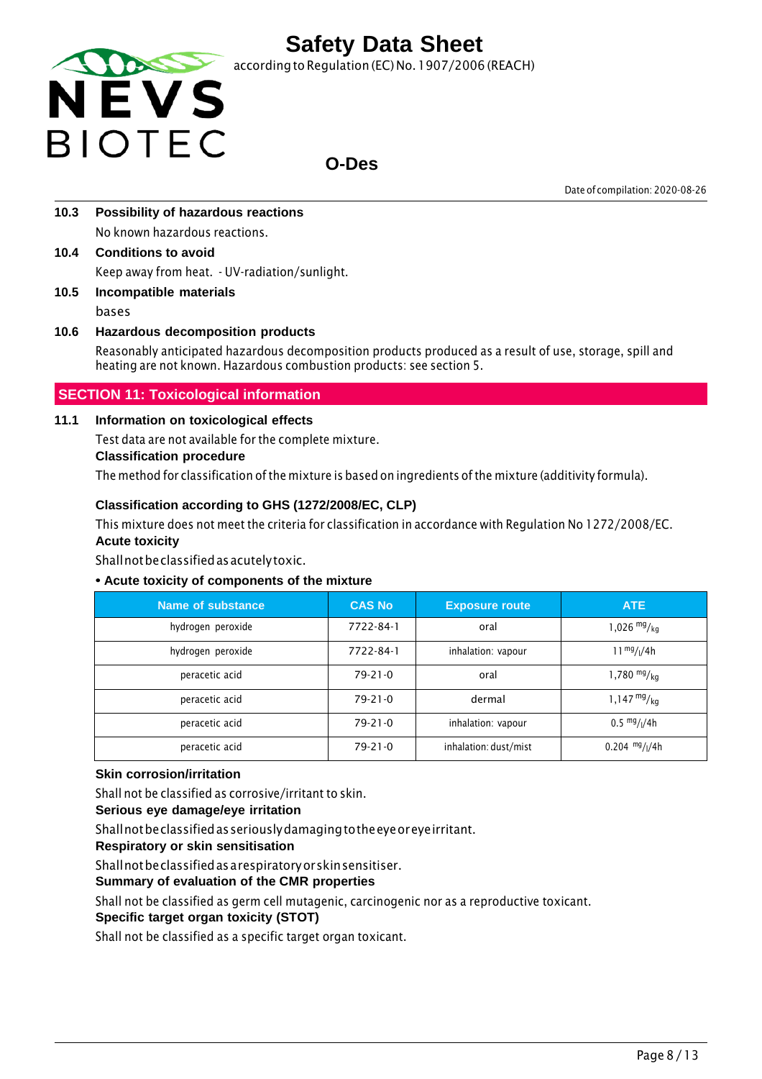

according to Regulation (EC) No. 1907/2006 (REACH)

### **O-Des**

Date of compilation: 2020-08-26

- **10.3 Possibility of hazardous reactions** No known hazardous reactions.
- **10.4 Conditions to avoid** Keep away from heat. - UV-radiation/sunlight.
- **10.5 Incompatible materials** bases

### **10.6 Hazardous decomposition products**

Reasonably anticipated hazardous decomposition products produced as a result of use, storage, spill and heating are not known. Hazardous combustion products: see section 5.

#### **SECTION 11: Toxicological information**

#### **11.1 Information on toxicological effects**

Test data are not available for the complete mixture.

#### **Classification procedure**

The method for classification ofthe mixture is based on ingredients of the mixture (additivity formula).

#### **Classification according to GHS (1272/2008/EC, CLP)**

This mixture does not meet the criteria for classification in accordance with Regulation No 1272/2008/EC. **Acute toxicity**

Shallnotbeclassifiedasacutelytoxic.

#### **• Acute toxicity of components of the mixture**

| Name of substance | <b>CAS No</b> | <b>Exposure route</b> | <b>ATE</b>                            |
|-------------------|---------------|-----------------------|---------------------------------------|
| hydrogen peroxide | 7722-84-1     | oral                  | 1,026 $mg/kq$                         |
| hydrogen peroxide | 7722-84-1     | inhalation: vapour    | $11^{mg}/(4h)$                        |
| peracetic acid    | $79-21-0$     | oral                  | 1,780 $mg/kq$                         |
| peracetic acid    | $79-21-0$     | dermal                | $1,147 \frac{mg}{kg}$                 |
| peracetic acid    | $79 - 21 - 0$ | inhalation: vapour    | $0.5 \frac{mg}{l}$ / <sub>1</sub> /4h |
| peracetic acid    | $79-21-0$     | inhalation: dust/mist | $0.204$ mg/ $1/4h$                    |

#### **Skin corrosion/irritation**

Shall not be classified as corrosive/irritant to skin.

#### **Serious eye damage/eye irritation**

Shallnotbeclassifiedasseriouslydamagingtotheeyeoreyeirritant.

**Respiratory or skin sensitisation**

Shallnotbeclassifiedasarespiratoryorskinsensitiser.

#### **Summary of evaluation of the CMR properties**

Shall not be classified as germ cell mutagenic, carcinogenic nor as a reproductive toxicant.

#### **Specific target organ toxicity (STOT)**

Shall not be classified as a specific target organ toxicant.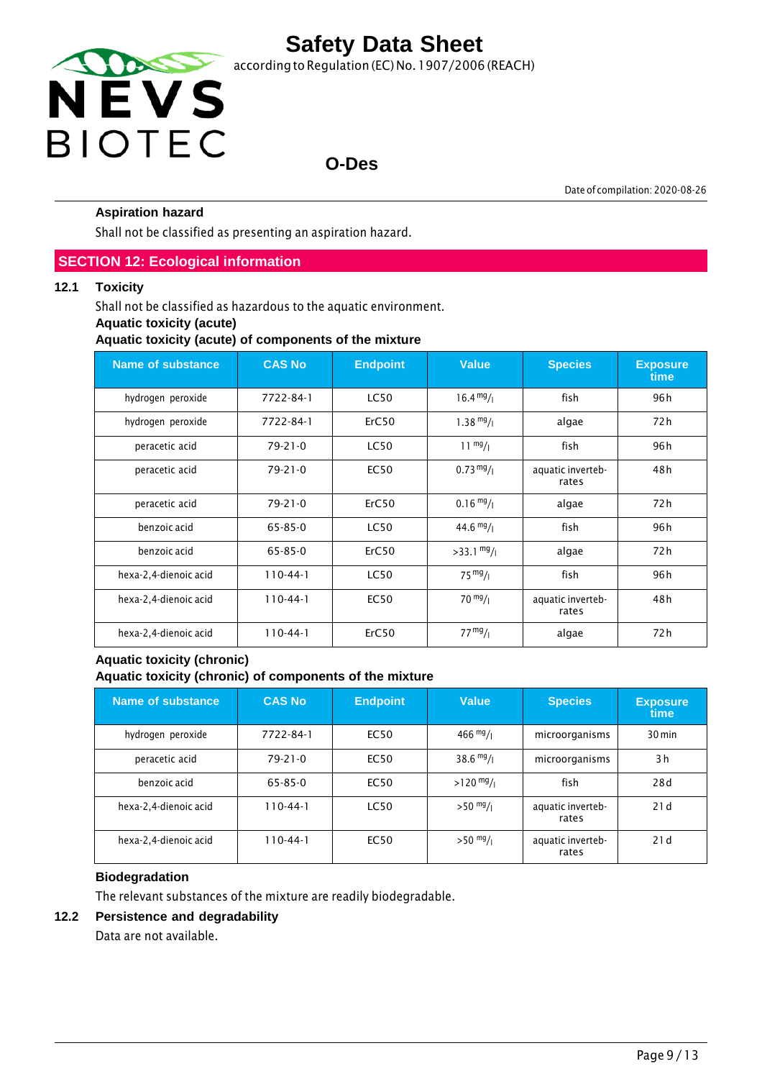

### **O-Des**

Date of compilation: 2020-08-26

#### **Aspiration hazard**

Shall not be classified as presenting an aspiration hazard.

#### **SECTION 12: Ecological information**

#### **12.1 Toxicity**

Shall not be classified as hazardous to the aquatic environment.

#### **Aquatic toxicity (acute)**

**Aquatic toxicity (acute) of components of the mixture**

| <b>Name of substance</b> | <b>CAS No</b> | <b>Endpoint</b> | <b>Value</b>         | <b>Species</b>             | <b>Exposure</b><br>time |
|--------------------------|---------------|-----------------|----------------------|----------------------------|-------------------------|
| hydrogen peroxide        | 7722-84-1     | <b>LC50</b>     | $16.4 \frac{mg}{l}$  | fish                       | 96 h                    |
| hydrogen peroxide        | 7722-84-1     | ErC50           | $1.38 \frac{mg}{l}$  | algae                      | 72 h                    |
| peracetic acid           | $79 - 21 - 0$ | <b>LC50</b>     | $11 \frac{mg}{l}$    | fish                       | 96 h                    |
| peracetic acid           | $79 - 21 - 0$ | <b>EC50</b>     | $0.73 \frac{mg}{l}$  | aquatic inverteb-<br>rates | 48 h                    |
| peracetic acid           | $79 - 21 - 0$ | ErC50           | $0.16 \frac{mg}{l}$  | algae                      | 72 h                    |
| benzoic acid             | $65 - 85 - 0$ | <b>LC50</b>     | $44.6 \frac{mg}{l}$  | fish                       | 96 h                    |
| benzoic acid             | $65 - 85 - 0$ | ErC50           | $>33.1 \frac{mg}{l}$ | algae                      | 72 h                    |
| hexa-2,4-dienoic acid    | $110-44-1$    | <b>LC50</b>     | $75 \frac{mg}{l}$    | fish                       | 96 h                    |
| hexa-2,4-dienoic acid    | $110-44-1$    | <b>EC50</b>     | $70 \frac{mg}{l}$    | aquatic inverteb-<br>rates | 48 h                    |
| hexa-2,4-dienoic acid    | $110-44-1$    | ErC50           | 77 <sup>mg</sup> /1  | algae                      | 72 h                    |

#### **Aquatic toxicity (chronic) Aquatic toxicity (chronic) of components of the mixture**

| Name of substance     | <b>CAS No</b>  | <b>Endpoint</b> | <b>Value</b>        | <b>Species</b>             | <b>Exposure</b><br>time |
|-----------------------|----------------|-----------------|---------------------|----------------------------|-------------------------|
| hydrogen peroxide     | 7722-84-1      | EC50            | $466 \frac{mg}{l}$  | microorganisms             | $30 \,\mathrm{min}$     |
| peracetic acid        | $79 - 21 - 0$  | EC50            | $38.6 \frac{mg}{l}$ | microorganisms             | 3h                      |
| benzoic acid          | 65-85-0        | <b>EC50</b>     | $>120$ mg/          | fish                       | 28d                     |
| hexa-2,4-dienoic acid | $110 - 44 - 1$ | <b>LC50</b>     | $>50$ mg/ $_1$      | aquatic inverteb-<br>rates | 21d                     |
| hexa-2,4-dienoic acid | $110 - 44 - 1$ | <b>EC50</b>     | $>50$ mg/           | aquatic inverteb-<br>rates | 21d                     |

#### **Biodegradation**

The relevant substances of the mixture are readily biodegradable.

#### **12.2 Persistence and degradability**

Data are not available.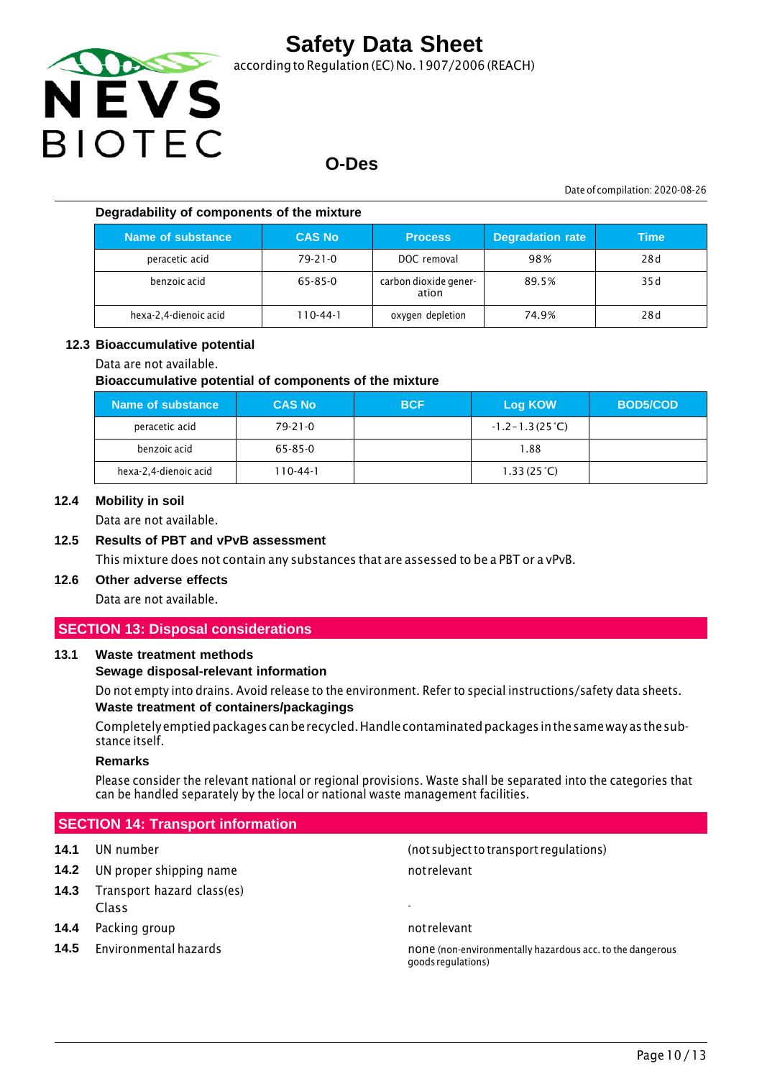

according to Regulation (EC) No.1907/2006 (REACH)

### **O-Des**

Date of compilation: 2020-08-26

#### **Degradability of components of the mixture**

| Name of substance     | <b>CAS No</b>  | <b>Process</b>                 | <b>Degradation rate</b> | <b>Time</b> |
|-----------------------|----------------|--------------------------------|-------------------------|-------------|
| peracetic acid        | $79 - 21 - 0$  | DOC removal                    | 98%                     | 28d         |
| benzoic acid          | 65-85-0        | carbon dioxide gener-<br>ation | 89.5%                   | 35 d        |
| hexa-2,4-dienoic acid | $110 - 44 - 1$ | oxygen depletion               | 74.9%                   | 28d         |

#### **12.3 Bioaccumulative potential**

#### Data are not available.

#### **Bioaccumulative potential of components of the mixture**

| Name of substance     | <b>CAS No</b> | <b>BCF</b> | Log KOW                   | <b>BOD5/COD</b> |
|-----------------------|---------------|------------|---------------------------|-----------------|
| peracetic acid        | $79 - 21 - 0$ |            | $-1.2 - 1.3(25^{\circ}C)$ |                 |
| benzoic acid          | 65-85-0       |            | 1.88                      |                 |
| hexa-2,4-dienoic acid | 110-44-1      |            | 1.33(25 <sup>o</sup> C)   |                 |

#### **12.4 Mobility in soil**

Data are not available.

#### **12.5 Results of PBT and vPvB assessment**

This mixture does not contain any substances that are assessed to be a PBT or a vPvB.

### **12.6 Other adverse effects**

Data are not available.

#### **SECTION 13: Disposal considerations**

#### **13.1 Waste treatment methods**

#### **Sewage disposal-relevant information**

Do not empty into drains. Avoid release to the environment. Refer to special instructions/safety data sheets. **Waste treatment of containers/packagings**

Completelyemptiedpackages canberecycled.Handlecontaminatedpackages inthesameway asthesubstance itself.

#### **Remarks**

Please consider the relevant national or regional provisions. Waste shall be separated into the categories that can be handled separately by the local or national waste management facilities.

#### **SECTION 14: Transport information**

- **14.2** UN proper shipping name not relevant
- **14.3** Transport hazard class(es) Class -
- **14.4** Packing group **not relevant** not relevant
- 

**14.1** UN number (not subjectto transport regulations)

**14.5** Environmental hazards none is none (non-environmentally hazardous acc. to the dangerous acc. to the dangerous goodsregulations)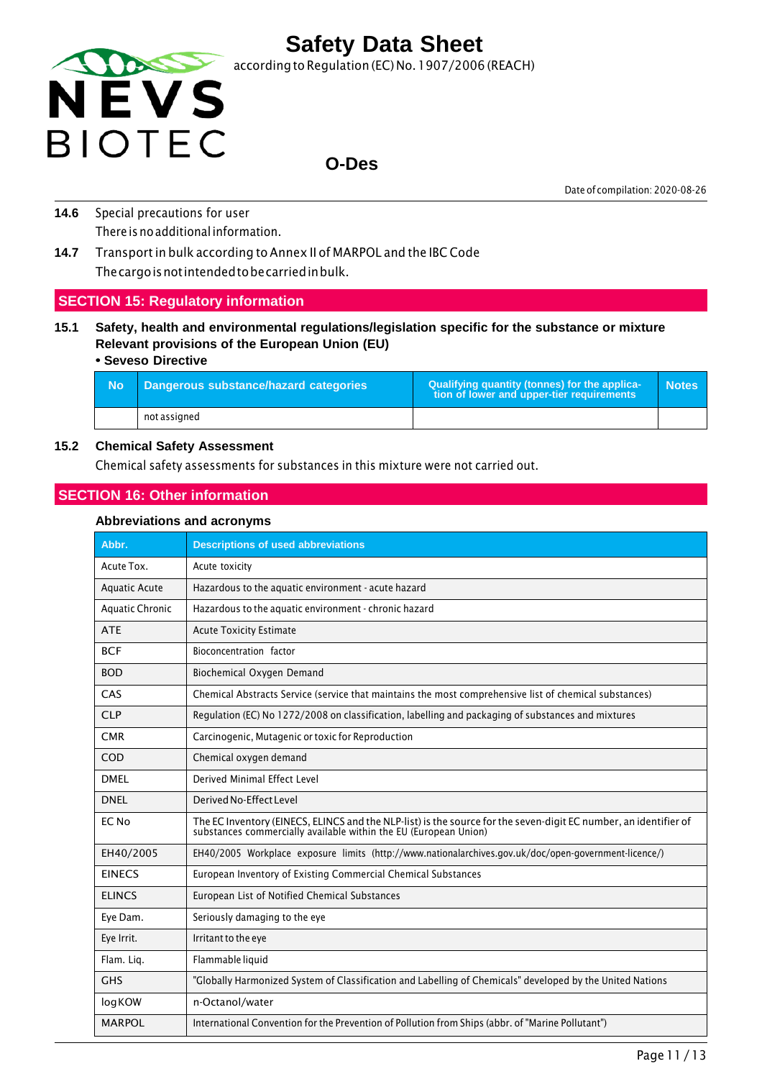

### **O-Des**

Date of compilation: 2020-08-26

- **14.6** Special precautions for user There is no additional information.
- **14.7** Transport in bulk according to Annex II of MARPOL and the IBC Code Thecargoisnotintendedtobecarriedinbulk.

#### **SECTION 15: Regulatory information**

**15.1 Safety, health and environmental regulations/legislation specific for the substance or mixture Relevant provisions of the European Union (EU)**

#### **• Seveso Directive**

| - No | Dangerous substance/hazard categories | Qualifying quantity (tonnes) for the applica-<br>tion of lower and upper-tier requirements | <b>Notes</b> |
|------|---------------------------------------|--------------------------------------------------------------------------------------------|--------------|
|      | not assigned                          |                                                                                            |              |

#### **15.2 Chemical Safety Assessment**

Chemical safety assessments for substances in this mixture were not carried out.

#### **SECTION 16: Other information**

#### **Abbreviations and acronyms**

| Abbr.                  | <b>Descriptions of used abbreviations</b>                                                                                                                                         |
|------------------------|-----------------------------------------------------------------------------------------------------------------------------------------------------------------------------------|
| Acute Tox.             | Acute toxicity                                                                                                                                                                    |
| <b>Aquatic Acute</b>   | Hazardous to the aquatic environment - acute hazard                                                                                                                               |
| <b>Aquatic Chronic</b> | Hazardous to the aquatic environment - chronic hazard                                                                                                                             |
| <b>ATE</b>             | <b>Acute Toxicity Estimate</b>                                                                                                                                                    |
| <b>BCF</b>             | Bioconcentration factor                                                                                                                                                           |
| <b>BOD</b>             | Biochemical Oxygen Demand                                                                                                                                                         |
| CAS                    | Chemical Abstracts Service (service that maintains the most comprehensive list of chemical substances)                                                                            |
| <b>CLP</b>             | Regulation (EC) No 1272/2008 on classification, labelling and packaging of substances and mixtures                                                                                |
| <b>CMR</b>             | Carcinogenic, Mutagenic or toxic for Reproduction                                                                                                                                 |
| COD                    | Chemical oxygen demand                                                                                                                                                            |
| <b>DMFI</b>            | Derived Minimal Effect Level                                                                                                                                                      |
| <b>DNEL</b>            | Derived No-Effect Level                                                                                                                                                           |
| EC No                  | The EC Inventory (EINECS, ELINCS and the NLP-list) is the source for the seven-digit EC number, an identifier of substances commercially available within the EU (European Union) |
| EH40/2005              | EH40/2005 Workplace exposure limits (http://www.nationalarchives.gov.uk/doc/open-government-licence/)                                                                             |
| <b>EINECS</b>          | European Inventory of Existing Commercial Chemical Substances                                                                                                                     |
| <b>ELINCS</b>          | European List of Notified Chemical Substances                                                                                                                                     |
| Eye Dam.               | Seriously damaging to the eye                                                                                                                                                     |
| Eye Irrit.             | Irritant to the eye                                                                                                                                                               |
| Flam. Lig.             | Flammable liquid                                                                                                                                                                  |
| <b>GHS</b>             | "Globally Harmonized System of Classification and Labelling of Chemicals" developed by the United Nations                                                                         |
| logKOW                 | n-Octanol/water                                                                                                                                                                   |
| <b>MARPOL</b>          | International Convention for the Prevention of Pollution from Ships (abbr. of "Marine Pollutant")                                                                                 |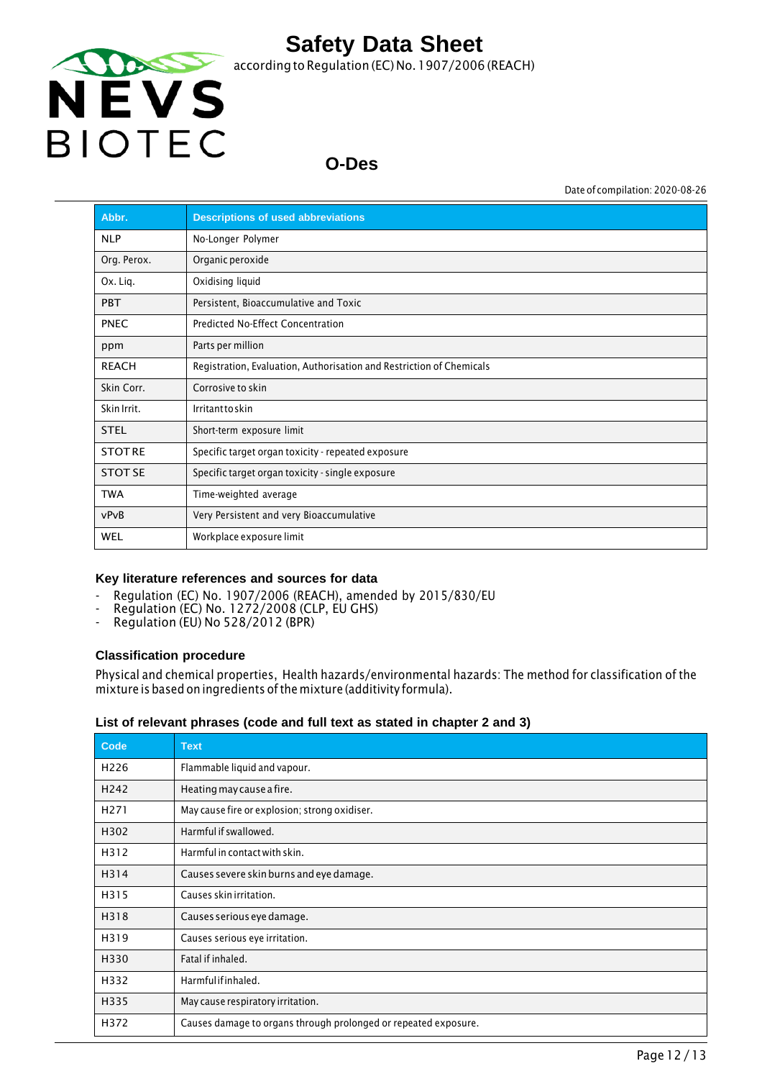

# **O-Des**

Date of compilation: 2020-08-26

| Abbr.          | <b>Descriptions of used abbreviations</b>                            |
|----------------|----------------------------------------------------------------------|
| <b>NLP</b>     | No-Longer Polymer                                                    |
| Org. Perox.    | Organic peroxide                                                     |
| Ox. Lig.       | Oxidising liquid                                                     |
| <b>PBT</b>     | Persistent, Bioaccumulative and Toxic                                |
| <b>PNEC</b>    | Predicted No-Effect Concentration                                    |
| ppm            | Parts per million                                                    |
| <b>REACH</b>   | Registration, Evaluation, Authorisation and Restriction of Chemicals |
| Skin Corr.     | Corrosive to skin                                                    |
| Skin Irrit.    | Irritanttoskin                                                       |
| <b>STEL</b>    | Short-term exposure limit                                            |
| <b>STOTRE</b>  | Specific target organ toxicity - repeated exposure                   |
| <b>STOT SE</b> | Specific target organ toxicity - single exposure                     |
| <b>TWA</b>     | Time-weighted average                                                |
| vPvB           | Very Persistent and very Bioaccumulative                             |
| <b>WEL</b>     | Workplace exposure limit                                             |

#### **Key literature references and sources for data**

- Regulation (EC) No. 1907/2006 (REACH), amended by 2015/830/EU
- Regulation (EC) No. 1272/2008 (CLP, EU GHS)
- Regulation (EU) No 528/2012 (BPR)

#### **Classification procedure**

Physical and chemical properties, Health hazards/environmental hazards: The method for classification of the mixture is based on ingredients ofthe mixture (additivity formula).

#### **List of relevant phrases (code and full text as stated in chapter 2 and 3)**

| Code             | <b>Text</b>                                                     |
|------------------|-----------------------------------------------------------------|
| H <sub>226</sub> | Flammable liquid and vapour.                                    |
| H <sub>242</sub> | Heating may cause a fire.                                       |
| H <sub>271</sub> | May cause fire or explosion; strong oxidiser.                   |
| H302             | Harmful if swallowed.                                           |
| H312             | Harmful in contact with skin.                                   |
| H314             | Causes severe skin burns and eye damage.                        |
| H315             | Causes skin irritation.                                         |
| H318             | Causes serious eye damage.                                      |
| H319             | Causes serious eye irritation.                                  |
| H330             | Fatal if inhaled.                                               |
| H332             | Harmfulifinhaled.                                               |
| H335             | May cause respiratory irritation.                               |
| H372             | Causes damage to organs through prolonged or repeated exposure. |